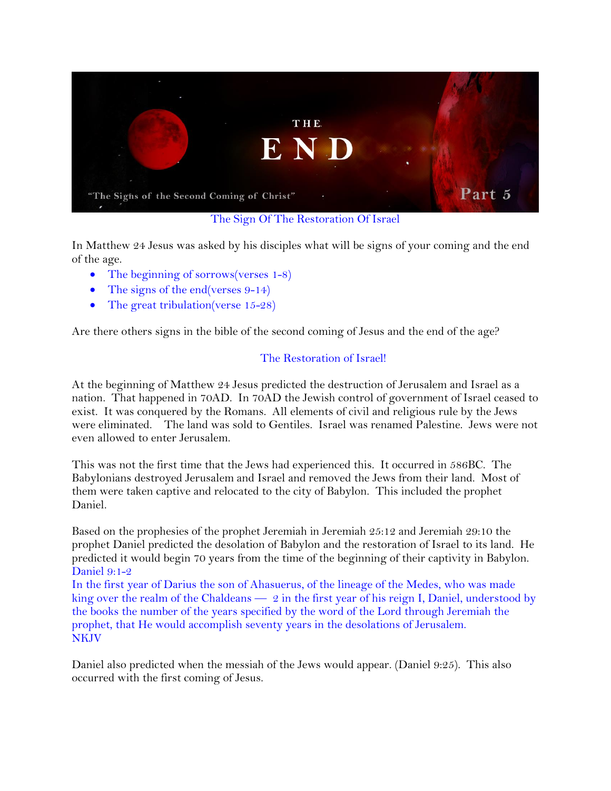

The Sign Of The Restoration Of Israel

In Matthew 24 Jesus was asked by his disciples what will be signs of your coming and the end of the age.

- The beginning of sorrows(verses 1-8)
- The signs of the end(verses 9-14)
- The great tribulation(verse 15-28)

Are there others signs in the bible of the second coming of Jesus and the end of the age?

# The Restoration of Israel!

At the beginning of Matthew 24 Jesus predicted the destruction of Jerusalem and Israel as a nation. That happened in 70AD. In 70AD the Jewish control of government of Israel ceased to exist. It was conquered by the Romans. All elements of civil and religious rule by the Jews were eliminated. The land was sold to Gentiles. Israel was renamed Palestine. Jews were not even allowed to enter Jerusalem.

This was not the first time that the Jews had experienced this. It occurred in 586BC. The Babylonians destroyed Jerusalem and Israel and removed the Jews from their land. Most of them were taken captive and relocated to the city of Babylon. This included the prophet Daniel.

Based on the prophesies of the prophet Jeremiah in Jeremiah 25:12 and Jeremiah 29:10 the prophet Daniel predicted the desolation of Babylon and the restoration of Israel to its land. He predicted it would begin 70 years from the time of the beginning of their captivity in Babylon. Daniel 9:1-2

In the first year of Darius the son of Ahasuerus, of the lineage of the Medes, who was made king over the realm of the Chaldeans  $-2$  in the first year of his reign I, Daniel, understood by the books the number of the years specified by the word of the Lord through Jeremiah the prophet, that He would accomplish seventy years in the desolations of Jerusalem. **NKJV** 

Daniel also predicted when the messiah of the Jews would appear. (Daniel 9:25). This also occurred with the first coming of Jesus.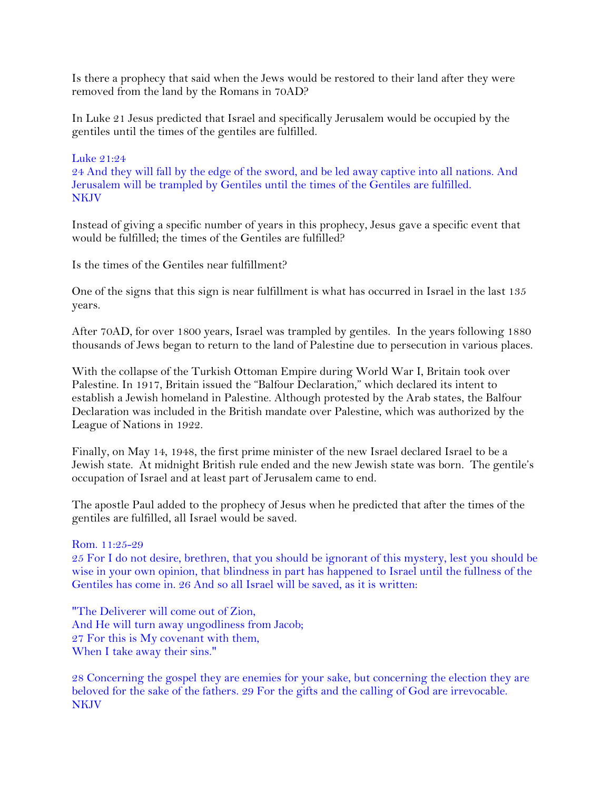Is there a prophecy that said when the Jews would be restored to their land after they were removed from the land by the Romans in 70AD?

In Luke 21 Jesus predicted that Israel and specifically Jerusalem would be occupied by the gentiles until the times of the gentiles are fulfilled.

### Luke 21:24

24 And they will fall by the edge of the sword, and be led away captive into all nations. And Jerusalem will be trampled by Gentiles until the times of the Gentiles are fulfilled. NKJV

Instead of giving a specific number of years in this prophecy, Jesus gave a specific event that would be fulfilled; the times of the Gentiles are fulfilled?

Is the times of the Gentiles near fulfillment?

One of the signs that this sign is near fulfillment is what has occurred in Israel in the last 135 years.

After 70AD, for over 1800 years, Israel was trampled by gentiles. In the years following 1880 thousands of Jews began to return to the land of Palestine due to persecution in various places.

With the collapse of the Turkish Ottoman Empire during World War I, Britain took over Palestine. In 1917, Britain issued the "Balfour Declaration," which declared its intent to establish a Jewish homeland in Palestine. Although protested by the Arab states, the Balfour Declaration was included in the British mandate over Palestine, which was authorized by the League of Nations in 1922.

Finally, on May 14, 1948, the first prime minister of the new Israel declared Israel to be a Jewish state. At midnight British rule ended and the new Jewish state was born. The gentile's occupation of Israel and at least part of Jerusalem came to end.

The apostle Paul added to the prophecy of Jesus when he predicted that after the times of the gentiles are fulfilled, all Israel would be saved.

#### Rom. 11:25-29

25 For I do not desire, brethren, that you should be ignorant of this mystery, lest you should be wise in your own opinion, that blindness in part has happened to Israel until the fullness of the Gentiles has come in. 26 And so all Israel will be saved, as it is written:

"The Deliverer will come out of Zion, And He will turn away ungodliness from Jacob; 27 For this is My covenant with them, When I take away their sins."

28 Concerning the gospel they are enemies for your sake, but concerning the election they are beloved for the sake of the fathers. 29 For the gifts and the calling of God are irrevocable. **NKJV**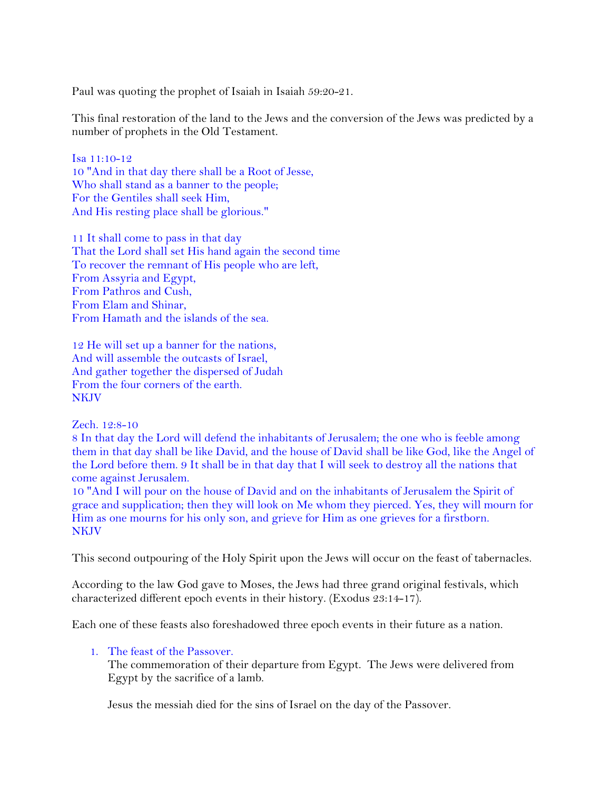Paul was quoting the prophet of Isaiah in Isaiah 59:20-21.

This final restoration of the land to the Jews and the conversion of the Jews was predicted by a number of prophets in the Old Testament.

Isa 11:10-12 10 "And in that day there shall be a Root of Jesse, Who shall stand as a banner to the people; For the Gentiles shall seek Him, And His resting place shall be glorious."

11 It shall come to pass in that day That the Lord shall set His hand again the second time To recover the remnant of His people who are left, From Assyria and Egypt, From Pathros and Cush, From Elam and Shinar, From Hamath and the islands of the sea.

12 He will set up a banner for the nations, And will assemble the outcasts of Israel, And gather together the dispersed of Judah From the four corners of the earth. **NKIV** 

Zech. 12:8-10

8 In that day the Lord will defend the inhabitants of Jerusalem; the one who is feeble among them in that day shall be like David, and the house of David shall be like God, like the Angel of the Lord before them. 9 It shall be in that day that I will seek to destroy all the nations that come against Jerusalem.

10 "And I will pour on the house of David and on the inhabitants of Jerusalem the Spirit of grace and supplication; then they will look on Me whom they pierced. Yes, they will mourn for Him as one mourns for his only son, and grieve for Him as one grieves for a firstborn. NKJV

This second outpouring of the Holy Spirit upon the Jews will occur on the feast of tabernacles.

According to the law God gave to Moses, the Jews had three grand original festivals, which characterized different epoch events in their history. (Exodus 23:14-17).

Each one of these feasts also foreshadowed three epoch events in their future as a nation.

#### 1. The feast of the Passover.

The commemoration of their departure from Egypt. The Jews were delivered from Egypt by the sacrifice of a lamb.

Jesus the messiah died for the sins of Israel on the day of the Passover.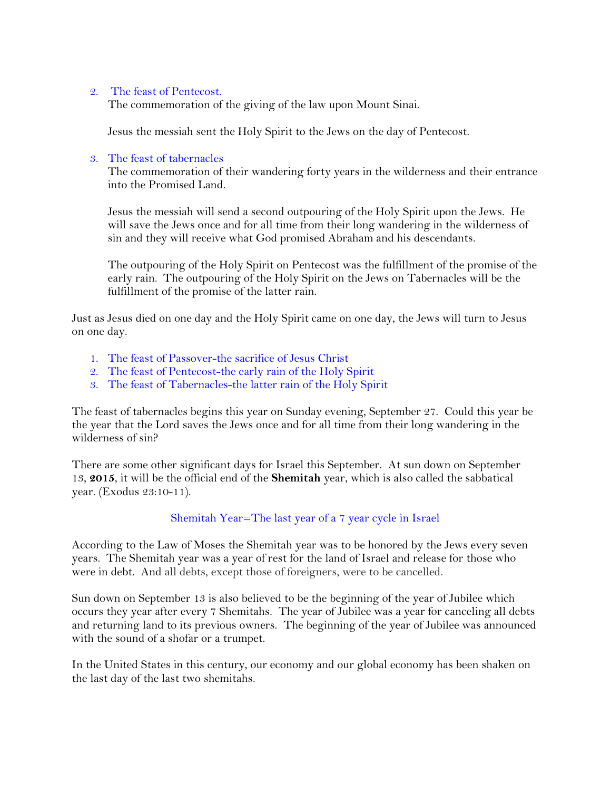### 2. The feast of Pentecost.

The commemoration of the giving of the law upon Mount Sinai.

Jesus the messiah sent the Holy Spirit to the Jews on the day of Pentecost.

### 3. The feast of tabernacles

The commemoration of their wandering forty years in the wilderness and their entrance into the Promised Land.

Jesus the messiah will send a second outpouring of the Holy Spirit upon the Jews. He will save the Jews once and for all time from their long wandering in the wilderness of sin and they will receive what God promised Abraham and his descendants.

The outpouring of the Holy Spirit on Pentecost was the fulfillment of the promise of the early rain. The outpouring of the Holy Spirit on the Jews on Tabernacles will be the fulfillment of the promise of the latter rain.

Just as Jesus died on one day and the Holy Spirit came on one day, the Jews will turn to Jesus on one day.

- 1. The feast of Passover-the sacrifice of Jesus Christ
- 2. The feast of Pentecost-the early rain of the Holy Spirit
- 3. The feast of Tabernacles-the latter rain of the Holy Spirit

The feast of tabernacles begins this year on Sunday evening, September 27. Could this year be the year that the Lord saves the Jews once and for all time from their long wandering in the wilderness of sin?

There are some other significant days for Israel this September. At sun down on September 13, **2015**, it will be the official end of the **Shemitah** year, which is also called the sabbatical year. (Exodus 23:10-11).

### Shemitah Year=The last year of a 7 year cycle in Israel

According to the Law of Moses the Shemitah year was to be honored by the Jews every seven years. The Shemitah year was a year of rest for the land of Israel and release for those who were in debt. And all debts, except those of foreigners, were to be cancelled.

Sun down on September 13 is also believed to be the beginning of the year of Jubilee which occurs they year after every 7 Shemitahs. The year of Jubilee was a year for canceling all debts and returning land to its previous owners. The beginning of the year of Jubilee was announced with the sound of a shofar or a trumpet.

In the United States in this century, our economy and our global economy has been shaken on the last day of the last two shemitahs.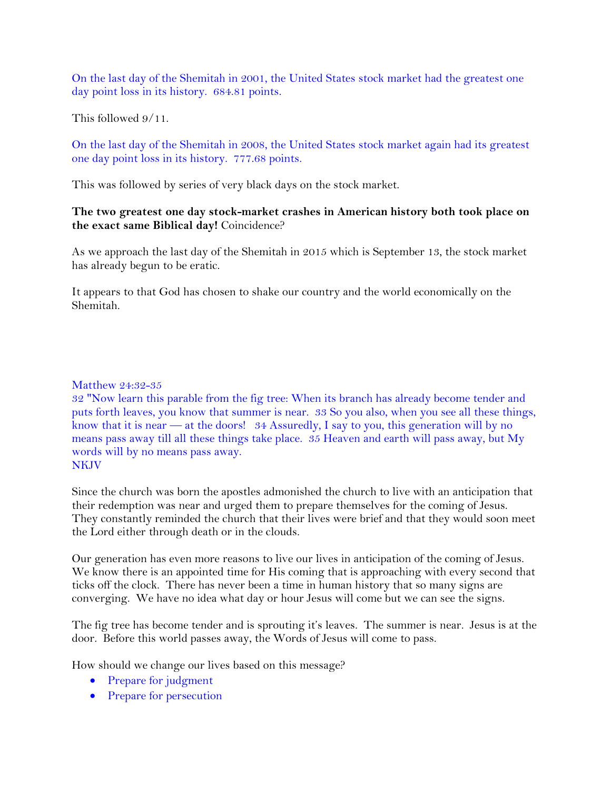On the last day of the Shemitah in 2001, the United States stock market had the greatest one day point loss in its history. 684.81 points.

This followed 9/11.

On the last day of the Shemitah in 2008, the United States stock market again had its greatest one day point loss in its history. 777.68 points.

This was followed by series of very black days on the stock market.

# **The two greatest one day stock-market crashes in American history both took place on the exact same Biblical day!** Coincidence?

As we approach the last day of the Shemitah in 2015 which is September 13, the stock market has already begun to be eratic.

It appears to that God has chosen to shake our country and the world economically on the Shemitah.

### Matthew 24:32-35

32 "Now learn this parable from the fig tree: When its branch has already become tender and puts forth leaves, you know that summer is near. 33 So you also, when you see all these things, know that it is near — at the doors! 34 Assuredly, I say to you, this generation will by no means pass away till all these things take place. 35 Heaven and earth will pass away, but My words will by no means pass away. NKJV

Since the church was born the apostles admonished the church to live with an anticipation that their redemption was near and urged them to prepare themselves for the coming of Jesus. They constantly reminded the church that their lives were brief and that they would soon meet the Lord either through death or in the clouds.

Our generation has even more reasons to live our lives in anticipation of the coming of Jesus. We know there is an appointed time for His coming that is approaching with every second that ticks off the clock. There has never been a time in human history that so many signs are converging. We have no idea what day or hour Jesus will come but we can see the signs.

The fig tree has become tender and is sprouting it's leaves. The summer is near. Jesus is at the door. Before this world passes away, the Words of Jesus will come to pass.

How should we change our lives based on this message?

- Prepare for judgment
- Prepare for persecution